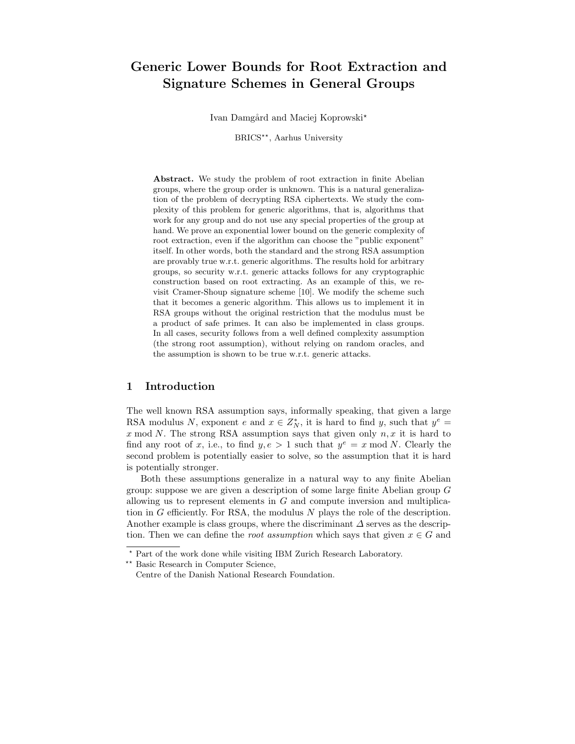# Generic Lower Bounds for Root Extraction and Signature Schemes in General Groups

Ivan Damgård and Maciej Koprowski\*

BRICS<sup>\*\*</sup>, Aarhus University

Abstract. We study the problem of root extraction in finite Abelian groups, where the group order is unknown. This is a natural generalization of the problem of decrypting RSA ciphertexts. We study the complexity of this problem for generic algorithms, that is, algorithms that work for any group and do not use any special properties of the group at hand. We prove an exponential lower bound on the generic complexity of root extraction, even if the algorithm can choose the "public exponent" itself. In other words, both the standard and the strong RSA assumption are provably true w.r.t. generic algorithms. The results hold for arbitrary groups, so security w.r.t. generic attacks follows for any cryptographic construction based on root extracting. As an example of this, we revisit Cramer-Shoup signature scheme [10]. We modify the scheme such that it becomes a generic algorithm. This allows us to implement it in RSA groups without the original restriction that the modulus must be a product of safe primes. It can also be implemented in class groups. In all cases, security follows from a well defined complexity assumption (the strong root assumption), without relying on random oracles, and the assumption is shown to be true w.r.t. generic attacks.

## 1 Introduction

The well known RSA assumption says, informally speaking, that given a large RSA modulus N, exponent e and  $x \in Z_N^*$ , it is hard to find y, such that  $y^e =$ x mod N. The strong RSA assumption says that given only  $n, x$  it is hard to find any root of x, i.e., to find  $y, e > 1$  such that  $y^e = x \mod N$ . Clearly the second problem is potentially easier to solve, so the assumption that it is hard is potentially stronger.

Both these assumptions generalize in a natural way to any finite Abelian group: suppose we are given a description of some large finite Abelian group G allowing us to represent elements in  $G$  and compute inversion and multiplication in G efficiently. For RSA, the modulus  $N$  plays the role of the description. Another example is class groups, where the discriminant  $\Delta$  serves as the description. Then we can define the root assumption which says that given  $x \in G$  and

<sup>?</sup> Part of the work done while visiting IBM Zurich Research Laboratory.

<sup>\*\*</sup> Basic Research in Computer Science,

Centre of the Danish National Research Foundation.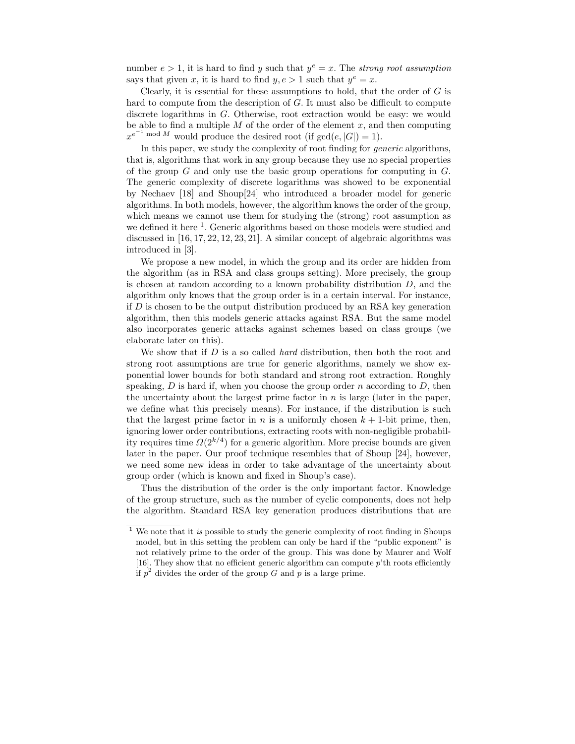number  $e > 1$ , it is hard to find y such that  $y^e = x$ . The strong root assumption says that given x, it is hard to find  $y, e > 1$  such that  $y^e = x$ .

Clearly, it is essential for these assumptions to hold, that the order of  $G$  is hard to compute from the description of G. It must also be difficult to compute discrete logarithms in G. Otherwise, root extraction would be easy: we would be able to find a multiple  $M$  of the order of the element  $x$ , and then computing  $x^{e^{-1} \mod M}$  would produce the desired root (if  $gcd(e, |G|) = 1$ ).

In this paper, we study the complexity of root finding for generic algorithms, that is, algorithms that work in any group because they use no special properties of the group  $G$  and only use the basic group operations for computing in  $G$ . The generic complexity of discrete logarithms was showed to be exponential by Nechaev [18] and Shoup[24] who introduced a broader model for generic algorithms. In both models, however, the algorithm knows the order of the group, which means we cannot use them for studying the (strong) root assumption as we defined it here <sup>1</sup>. Generic algorithms based on those models were studied and discussed in [16, 17, 22, 12, 23, 21]. A similar concept of algebraic algorithms was introduced in [3].

We propose a new model, in which the group and its order are hidden from the algorithm (as in RSA and class groups setting). More precisely, the group is chosen at random according to a known probability distribution  $D$ , and the algorithm only knows that the group order is in a certain interval. For instance, if D is chosen to be the output distribution produced by an RSA key generation algorithm, then this models generic attacks against RSA. But the same model also incorporates generic attacks against schemes based on class groups (we elaborate later on this).

We show that if  $D$  is a so called *hard* distribution, then both the root and strong root assumptions are true for generic algorithms, namely we show exponential lower bounds for both standard and strong root extraction. Roughly speaking,  $D$  is hard if, when you choose the group order n according to  $D$ , then the uncertainty about the largest prime factor in  $n$  is large (later in the paper, we define what this precisely means). For instance, if the distribution is such that the largest prime factor in n is a uniformly chosen  $k + 1$ -bit prime, then, ignoring lower order contributions, extracting roots with non-negligible probability requires time  $\Omega(2^{k/4})$  for a generic algorithm. More precise bounds are given later in the paper. Our proof technique resembles that of Shoup [24], however, we need some new ideas in order to take advantage of the uncertainty about group order (which is known and fixed in Shoup's case).

Thus the distribution of the order is the only important factor. Knowledge of the group structure, such as the number of cyclic components, does not help the algorithm. Standard RSA key generation produces distributions that are

 $1$  We note that it is possible to study the generic complexity of root finding in Shoups model, but in this setting the problem can only be hard if the "public exponent" is not relatively prime to the order of the group. This was done by Maurer and Wolf [16]. They show that no efficient generic algorithm can compute  $p$ 'th roots efficiently if  $p^2$  divides the order of the group G and p is a large prime.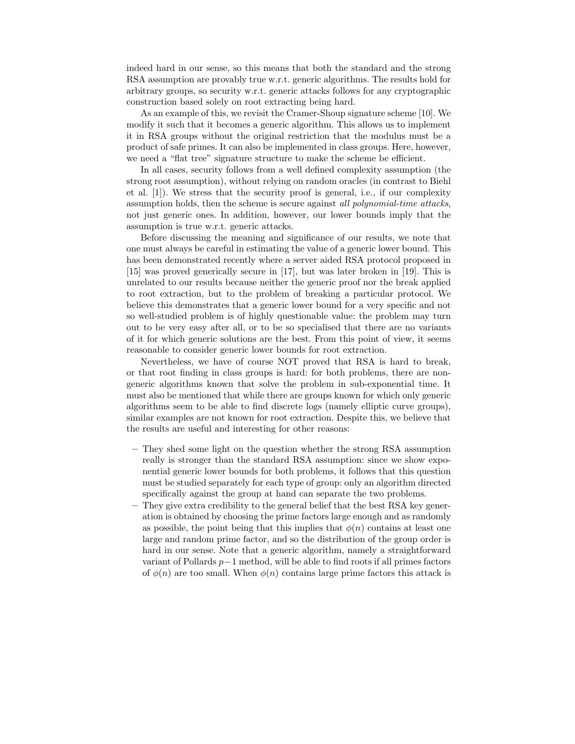indeed hard in our sense, so this means that both the standard and the strong RSA assumption are provably true w.r.t. generic algorithms. The results hold for arbitrary groups, so security w.r.t. generic attacks follows for any cryptographic construction based solely on root extracting being hard.

As an example of this, we revisit the Cramer-Shoup signature scheme [10]. We modify it such that it becomes a generic algorithm. This allows us to implement it in RSA groups without the original restriction that the modulus must be a product of safe primes. It can also be implemented in class groups. Here, however, we need a "flat tree" signature structure to make the scheme be efficient.

In all cases, security follows from a well defined complexity assumption (the strong root assumption), without relying on random oracles (in contrast to Biehl et al. [1]). We stress that the security proof is general, i.e., if our complexity assumption holds, then the scheme is secure against all polynomial-time attacks, not just generic ones. In addition, however, our lower bounds imply that the assumption is true w.r.t. generic attacks.

Before discussing the meaning and significance of our results, we note that one must always be careful in estimating the value of a generic lower bound. This has been demonstrated recently where a server aided RSA protocol proposed in [15] was proved generically secure in [17], but was later broken in [19]. This is unrelated to our results because neither the generic proof nor the break applied to root extraction, but to the problem of breaking a particular protocol. We believe this demonstrates that a generic lower bound for a very specific and not so well-studied problem is of highly questionable value: the problem may turn out to be very easy after all, or to be so specialised that there are no variants of it for which generic solutions are the best. From this point of view, it seems reasonable to consider generic lower bounds for root extraction.

Nevertheless, we have of course NOT proved that RSA is hard to break, or that root finding in class groups is hard: for both problems, there are nongeneric algorithms known that solve the problem in sub-exponential time. It must also be mentioned that while there are groups known for which only generic algorithms seem to be able to find discrete logs (namely elliptic curve groups), similar examples are not known for root extraction. Despite this, we believe that the results are useful and interesting for other reasons:

- They shed some light on the question whether the strong RSA assumption really is stronger than the standard RSA assumption: since we show exponential generic lower bounds for both problems, it follows that this question must be studied separately for each type of group: only an algorithm directed specifically against the group at hand can separate the two problems.
- They give extra credibility to the general belief that the best RSA key generation is obtained by choosing the prime factors large enough and as randomly as possible, the point being that this implies that  $\phi(n)$  contains at least one large and random prime factor, and so the distribution of the group order is hard in our sense. Note that a generic algorithm, namely a straightforward variant of Pollards p−1 method, will be able to find roots if all primes factors of  $\phi(n)$  are too small. When  $\phi(n)$  contains large prime factors this attack is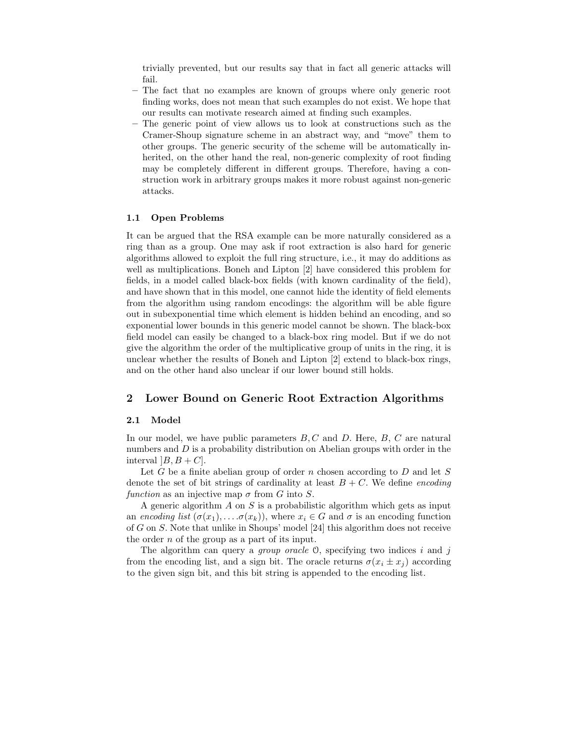trivially prevented, but our results say that in fact all generic attacks will fail.

- The fact that no examples are known of groups where only generic root finding works, does not mean that such examples do not exist. We hope that our results can motivate research aimed at finding such examples.
- The generic point of view allows us to look at constructions such as the Cramer-Shoup signature scheme in an abstract way, and "move" them to other groups. The generic security of the scheme will be automatically inherited, on the other hand the real, non-generic complexity of root finding may be completely different in different groups. Therefore, having a construction work in arbitrary groups makes it more robust against non-generic attacks.

#### 1.1 Open Problems

It can be argued that the RSA example can be more naturally considered as a ring than as a group. One may ask if root extraction is also hard for generic algorithms allowed to exploit the full ring structure, i.e., it may do additions as well as multiplications. Boneh and Lipton [2] have considered this problem for fields, in a model called black-box fields (with known cardinality of the field), and have shown that in this model, one cannot hide the identity of field elements from the algorithm using random encodings: the algorithm will be able figure out in subexponential time which element is hidden behind an encoding, and so exponential lower bounds in this generic model cannot be shown. The black-box field model can easily be changed to a black-box ring model. But if we do not give the algorithm the order of the multiplicative group of units in the ring, it is unclear whether the results of Boneh and Lipton [2] extend to black-box rings, and on the other hand also unclear if our lower bound still holds.

## 2 Lower Bound on Generic Root Extraction Algorithms

#### 2.1 Model

In our model, we have public parameters  $B, C$  and  $D$ . Here,  $B, C$  are natural numbers and  $D$  is a probability distribution on Abelian groups with order in the interval  $|B, B + C|$ .

Let G be a finite abelian group of order n chosen according to  $D$  and let  $S$ denote the set of bit strings of cardinality at least  $B + C$ . We define *encoding* function as an injective map  $\sigma$  from G into S.

A generic algorithm  $A$  on  $S$  is a probabilistic algorithm which gets as input an encoding list  $(\sigma(x_1), \ldots, \sigma(x_k))$ , where  $x_i \in G$  and  $\sigma$  is an encoding function of G on S. Note that unlike in Shoups' model [24] this algorithm does not receive the order n of the group as a part of its input.

The algorithm can query a *group oracle*  $\mathcal{O}$ , specifying two indices i and j from the encoding list, and a sign bit. The oracle returns  $\sigma(x_i \pm x_j)$  according to the given sign bit, and this bit string is appended to the encoding list.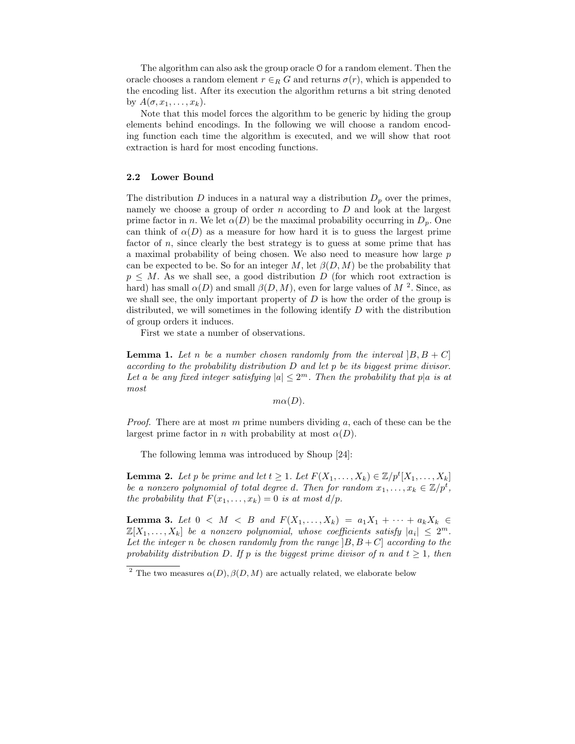The algorithm can also ask the group oracle O for a random element. Then the oracle chooses a random element  $r \in_R G$  and returns  $\sigma(r)$ , which is appended to the encoding list. After its execution the algorithm returns a bit string denoted by  $A(\sigma, x_1, \ldots, x_k)$ .

Note that this model forces the algorithm to be generic by hiding the group elements behind encodings. In the following we will choose a random encoding function each time the algorithm is executed, and we will show that root extraction is hard for most encoding functions.

#### 2.2 Lower Bound

The distribution D induces in a natural way a distribution  $D<sub>p</sub>$  over the primes, namely we choose a group of order  $n$  according to  $D$  and look at the largest prime factor in n. We let  $\alpha(D)$  be the maximal probability occurring in  $D_n$ . One can think of  $\alpha(D)$  as a measure for how hard it is to guess the largest prime factor of  $n$ , since clearly the best strategy is to guess at some prime that has a maximal probability of being chosen. We also need to measure how large p can be expected to be. So for an integer M, let  $\beta(D, M)$  be the probability that  $p \leq M$ . As we shall see, a good distribution D (for which root extraction is hard) has small  $\alpha(D)$  and small  $\beta(D, M)$ , even for large values of  $M<sup>2</sup>$ . Since, as we shall see, the only important property of  $D$  is how the order of the group is distributed, we will sometimes in the following identify  $D$  with the distribution of group orders it induces.

First we state a number of observations.

**Lemma 1.** Let n be a number chosen randomly from the interval  $[B, B + C]$ according to the probability distribution D and let p be its biggest prime divisor. Let a be any fixed integer satisfying  $|a| \leq 2^m$ . Then the probability that  $p|a$  is at most

 $m\alpha(D)$ .

*Proof.* There are at most  $m$  prime numbers dividing  $a$ , each of these can be the largest prime factor in n with probability at most  $\alpha(D)$ .

The following lemma was introduced by Shoup [24]:

**Lemma 2.** Let p be prime and let  $t \geq 1$ . Let  $F(X_1, \ldots, X_k) \in \mathbb{Z}/p^t[X_1, \ldots, X_k]$ be a nonzero polynomial of total degree d. Then for random  $x_1, \ldots, x_k \in \mathbb{Z}/p^t$ , the probability that  $F(x_1, \ldots, x_k) = 0$  is at most  $d/p$ .

**Lemma 3.** Let  $0 < M < B$  and  $F(X_1, ..., X_k) = a_1X_1 + ... + a_kX_k \in$  $\mathbb{Z}[X_1,\ldots,X_k]$  be a nonzero polynomial, whose coefficients satisfy  $|a_i| \leq 2^m$ . Let the integer n be chosen randomly from the range  $|B, B+C|$  according to the probability distribution D. If p is the biggest prime divisor of n and  $t \geq 1$ , then

<sup>&</sup>lt;sup>2</sup> The two measures  $\alpha(D), \beta(D, M)$  are actually related, we elaborate below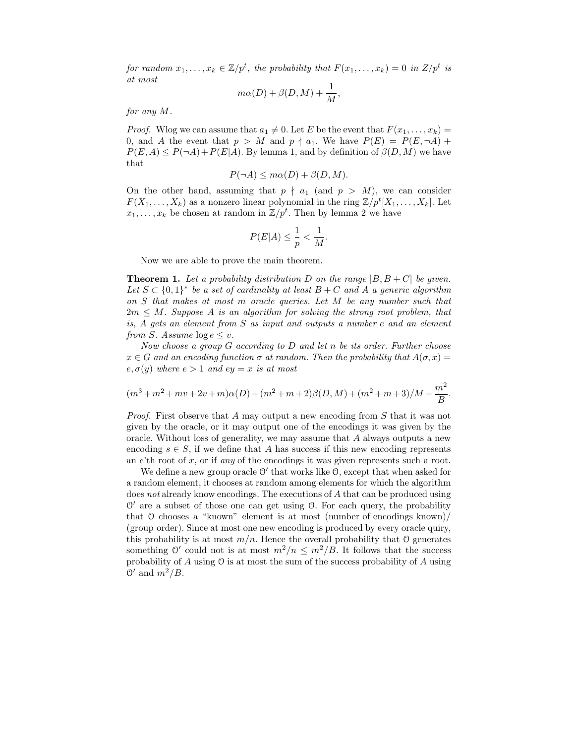for random  $x_1, \ldots, x_k \in \mathbb{Z}/p^t$ , the probability that  $F(x_1, \ldots, x_k) = 0$  in  $\mathbb{Z}/p^t$  is at most

$$
m\alpha(D)+\beta(D,M)+\frac{1}{M},
$$

for any M.

*Proof.* Whog we can assume that  $a_1 \neq 0$ . Let E be the event that  $F(x_1, \ldots, x_k) =$ 0, and A the event that  $p > M$  and  $p \nmid a_1$ . We have  $P(E) = P(E, \neg A) +$  $P(E, A) \leq P(\neg A) + P(E|A)$ . By lemma 1, and by definition of  $\beta(D, M)$  we have that

$$
P(\neg A) \leq m\alpha(D) + \beta(D, M).
$$

On the other hand, assuming that  $p \nmid a_1$  (and  $p > M$ ), we can consider  $F(X_1, \ldots, X_k)$  as a nonzero linear polynomial in the ring  $\mathbb{Z}/p^t[X_1, \ldots, X_k]$ . Let  $x_1, \ldots, x_k$  be chosen at random in  $\mathbb{Z}/p^t$ . Then by lemma 2 we have

$$
P(E|A) \le \frac{1}{p} < \frac{1}{M}.
$$

Now we are able to prove the main theorem.

**Theorem 1.** Let a probability distribution D on the range  $[B, B + C]$  be given. Let  $S \subset \{0,1\}^*$  be a set of cardinality at least  $B+C$  and A a generic algorithm on S that makes at most m oracle queries. Let M be any number such that  $2m \leq M$ . Suppose A is an algorithm for solving the strong root problem, that is, A gets an element from S as input and outputs a number e and an element from S. Assume  $\log e \leq v$ .

Now choose a group  $G$  according to  $D$  and let  $n$  be its order. Further choose  $x \in G$  and an encoding function  $\sigma$  at random. Then the probability that  $A(\sigma, x) =$  $e, \sigma(y)$  where  $e > 1$  and  $ey = x$  is at most

$$
(m^3 + m^2 + mv + 2v + m)\alpha(D) + (m^2 + m + 2)\beta(D, M) + (m^2 + m + 3)/M + \frac{m^2}{B}.
$$

Proof. First observe that A may output a new encoding from S that it was not given by the oracle, or it may output one of the encodings it was given by the oracle. Without loss of generality, we may assume that A always outputs a new encoding  $s \in S$ , if we define that A has success if this new encoding represents an  $e<sup>i</sup>$ th root of x, or if any of the encodings it was given represents such a root.

We define a new group oracle  $\mathcal{O}'$  that works like  $\mathcal{O}$ , except that when asked for a random element, it chooses at random among elements for which the algorithm does not already know encodings. The executions of A that can be produced using O' are a subset of those one can get using O. For each query, the probability that O chooses a "known" element is at most (number of encodings known)/ (group order). Since at most one new encoding is produced by every oracle quiry, this probability is at most  $m/n$ . Hence the overall probability that  $\mathcal O$  generates something  $\mathcal{O}'$  could not is at most  $m^2/n \leq m^2/B$ . It follows that the success probability of A using  $\mathcal O$  is at most the sum of the success probability of A using  $\mathcal{O}'$  and  $m^2/B$ .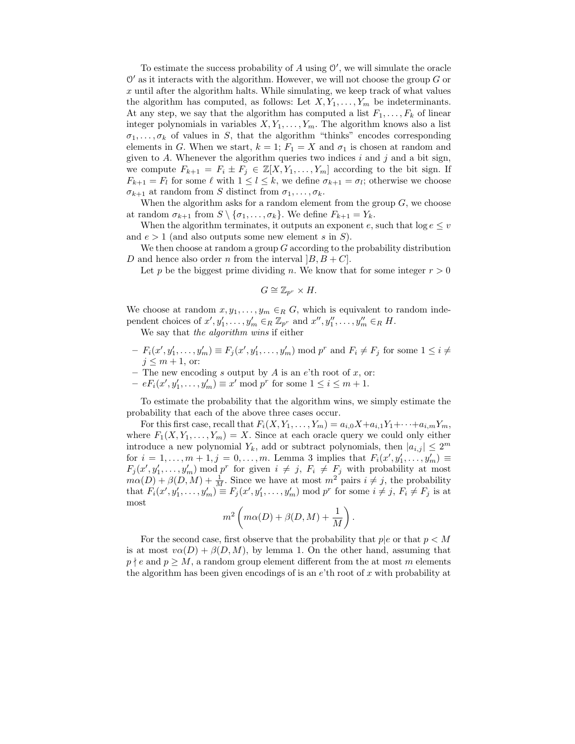To estimate the success probability of  $A$  using  $\mathcal{O}'$ , we will simulate the oracle  $\mathcal{O}'$  as it interacts with the algorithm. However, we will not choose the group G or x until after the algorithm halts. While simulating, we keep track of what values the algorithm has computed, as follows: Let  $X, Y_1, \ldots, Y_m$  be indeterminants. At any step, we say that the algorithm has computed a list  $F_1, \ldots, F_k$  of linear integer polynomials in variables  $X, Y_1, \ldots, Y_m$ . The algorithm knows also a list  $\sigma_1, \ldots, \sigma_k$  of values in S, that the algorithm "thinks" encodes corresponding elements in G. When we start,  $k = 1$ ;  $F_1 = X$  and  $\sigma_1$  is chosen at random and given to  $A$ . Whenever the algorithm queries two indices  $i$  and  $j$  and a bit sign, we compute  $F_{k+1} = F_i \pm F_j \in \mathbb{Z}[X, Y_1, \ldots, Y_m]$  according to the bit sign. If  $F_{k+1} = F_l$  for some  $\ell$  with  $1 \leq l \leq k$ , we define  $\sigma_{k+1} = \sigma_l$ ; otherwise we choose  $\sigma_{k+1}$  at random from S distinct from  $\sigma_1, \ldots, \sigma_k$ .

When the algorithm asks for a random element from the group  $G$ , we choose at random  $\sigma_{k+1}$  from  $S \setminus {\sigma_1, \ldots, \sigma_k}$ . We define  $F_{k+1} = Y_k$ .

When the algorithm terminates, it outputs an exponent e, such that  $log e \leq v$ and  $e > 1$  (and also outputs some new element s in S).

We then choose at random a group  $G$  according to the probability distribution D and hence also order n from the interval  $|B, B + C|$ .

Let p be the biggest prime dividing n. We know that for some integer  $r > 0$ 

$$
G \cong \mathbb{Z}_{p^r} \times H.
$$

We choose at random  $x, y_1, \ldots, y_m \in_R G$ , which is equivalent to random independent choices of  $x', y'_1, \ldots, y'_m \in_R \mathbb{Z}_{p^r}$  and  $x'', y''_1, \ldots, y''_m \in_R H$ .

We say that the algorithm wins if either

- $-F_i(x', y'_1, \ldots, y'_m) \equiv F_j(x', y'_1, \ldots, y'_m) \bmod p^r$  and  $F_i \neq F_j$  for some  $1 \leq i \neq j$  $j \leq m+1$ , or:
- The new encoding s output by A is an e'th root of x, or:
- $eF_i(x', y'_1, \dots, y'_m) \equiv x' \bmod p^r$  for some  $1 \le i \le m + 1$ .

To estimate the probability that the algorithm wins, we simply estimate the probability that each of the above three cases occur.

For this first case, recall that  $F_i(X, Y_1, \ldots, Y_m) = a_{i,0}X + a_{i,1}Y_1 + \cdots + a_{i,m}Y_m$ , where  $F_1(X, Y_1, \ldots, Y_m) = X$ . Since at each oracle query we could only either introduce a new polynomial  $Y_k$ , add or subtract polynomials, then  $|a_{i,j}| \leq 2^m$ for  $i = 1, ..., m + 1, j = 0, ..., m$ . Lemma 3 implies that  $F_i(x', y'_1, ..., y'_m) \equiv$  $F_j(x', y'_1, \ldots, y'_m) \bmod p^r$  for given  $i \neq j$ ,  $F_i \neq F_j$  with probability at most  $m\alpha(D) + \beta(D,M) + \frac{1}{M}$ . Since we have at most  $m^2$  pairs  $i \neq j$ , the probability that  $F_i(x', y'_1, \ldots, y'_m) \equiv F_j(x', y'_1, \ldots, y'_m) \bmod p^r$  for some  $i \neq j$ ,  $F_i \neq F_j$  is at most

$$
m^2 \left( m\alpha(D) + \beta(D, M) + \frac{1}{M} \right).
$$

For the second case, first observe that the probability that  $p|e$  or that  $p < M$ is at most  $v\alpha(D) + \beta(D,M)$ , by lemma 1. On the other hand, assuming that  $p \nmid e$  and  $p \geq M$ , a random group element different from the at most m elements the algorithm has been given encodings of is an  $e^{\lambda t}$  root of x with probability at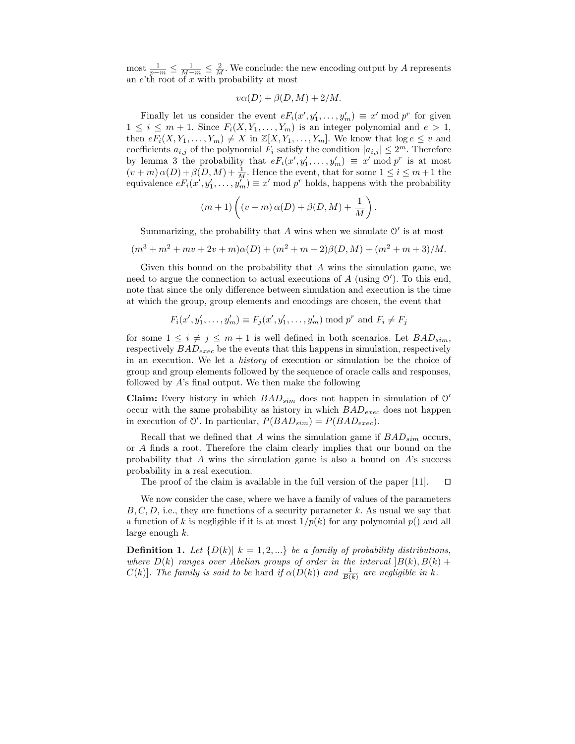most  $\frac{1}{p-m} \leq \frac{1}{M-m} \leq \frac{2}{M}$ . We conclude: the new encoding output by A represents an e'th root of x with probability at most

$$
v\alpha(D) + \beta(D, M) + 2/M.
$$

Finally let us consider the event  $eF_i(x', y'_1, \ldots, y'_m) \equiv x' \bmod p^r$  for given  $1 \leq i \leq m+1$ . Since  $F_i(X, Y_1, \ldots, Y_m)$  is an integer polynomial and  $e > 1$ , then  $eF_i(X, Y_1, \ldots, Y_m) \neq X$  in  $\mathbb{Z}[X, Y_1, \ldots, Y_m]$ . We know that  $\log e \leq v$  and coefficients  $a_{i,j}$  of the polynomial  $F_i$  satisfy the condition  $|a_{i,j}| \leq 2^m$ . Therefore by lemma 3 the probability that  $eF_i(x', y'_1, \ldots, y'_m) \equiv x' \mod p^r$  is at most  $(v+m)\alpha(D)+\beta(D,M)+\frac{1}{M}$ . Hence the event, that for some  $1 \leq i \leq m+1$  the equivalence  $eF_i(x', y'_1, \ldots, y'_m) \equiv x' \bmod p^r$  holds, happens with the probability

$$
(m+1)\left((v+m)\alpha(D)+\beta(D,M)+\frac{1}{M}\right).
$$

Summarizing, the probability that  $A$  wins when we simulate  $O'$  is at most

$$
(m3 + m2 + mv + 2v + m)\alpha(D) + (m2 + m + 2)\beta(D, M) + (m2 + m + 3)/M.
$$

Given this bound on the probability that  $A$  wins the simulation game, we need to argue the connection to actual executions of  $A$  (using  $0'$ ). To this end, note that since the only difference between simulation and execution is the time at which the group, group elements and encodings are chosen, the event that

$$
F_i(x', y'_1, ..., y'_m) \equiv F_j(x', y'_1, ..., y'_m) \bmod p^r \text{ and } F_i \neq F_j
$$

for some  $1 \leq i \neq j \leq m+1$  is well defined in both scenarios. Let  $BAD_{sim}$ , respectively  $BAD_{exec}$  be the events that this happens in simulation, respectively in an execution. We let a history of execution or simulation be the choice of group and group elements followed by the sequence of oracle calls and responses, followed by A's final output. We then make the following

**Claim:** Every history in which  $BAD_{sim}$  does not happen in simulation of  $O'$ occur with the same probability as history in which  $BAD_{exec}$  does not happen in execution of  $\mathcal{O}'$ . In particular,  $P(BAD_{sim}) = P(BAD_{exec})$ .

Recall that we defined that  $A$  wins the simulation game if  $BAD_{sim}$  occurs, or A finds a root. Therefore the claim clearly implies that our bound on the probability that  $A$  wins the simulation game is also a bound on  $A$ 's success probability in a real execution.

The proof of the claim is available in the full version of the paper [11].  $\Box$ 

We now consider the case, where we have a family of values of the parameters  $B, C, D$ , i.e., they are functions of a security parameter k. As usual we say that a function of k is negligible if it is at most  $1/p(k)$  for any polynomial  $p()$  and all large enough  $k$ .

**Definition 1.** Let  $\{D(k) | k = 1, 2, ...\}$  be a family of probability distributions, where  $D(k)$  ranges over Abelian groups of order in the interval  $B(k)$ ,  $B(k)$  +  $C(k)$ . The family is said to be hard if  $\alpha(D(k))$  and  $\frac{1}{B(k)}$  are negligible in k.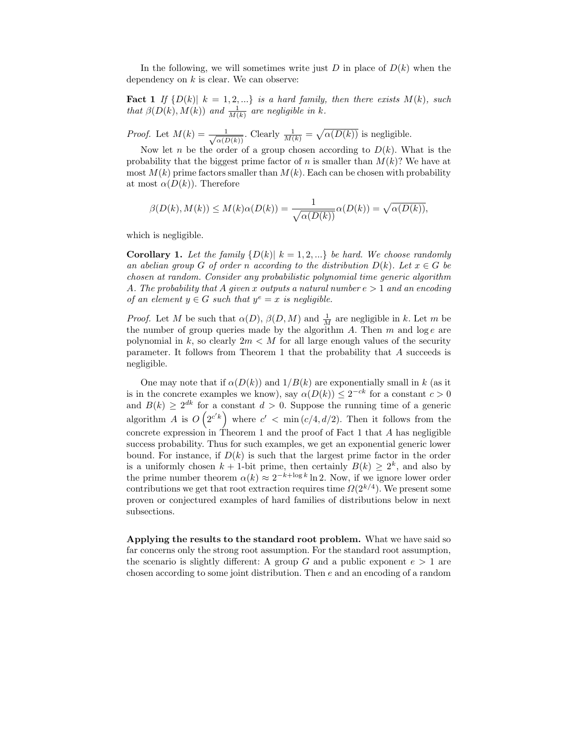In the following, we will sometimes write just D in place of  $D(k)$  when the dependency on  $k$  is clear. We can observe:

**Fact 1** If  $\{D(k) | k = 1, 2, ...\}$  is a hard family, then there exists  $M(k)$ , such that  $\beta(D(k), M(k))$  and  $\frac{1}{M(k)}$  are negligible in k.

*Proof.* Let  $M(k) = \frac{1}{\sqrt{\alpha(k)}}$  $\frac{1}{\alpha(D(k))}$ . Clearly  $\frac{1}{M(k)} = \sqrt{\alpha(D(k))}$  is negligible.

Now let *n* be the order of a group chosen according to  $D(k)$ . What is the probability that the biggest prime factor of n is smaller than  $M(k)$ ? We have at most  $M(k)$  prime factors smaller than  $M(k)$ . Each can be chosen with probability at most  $\alpha(D(k))$ . Therefore

$$
\beta(D(k), M(k)) \le M(k)\alpha(D(k)) = \frac{1}{\sqrt{\alpha(D(k))}}\alpha(D(k)) = \sqrt{\alpha(D(k))},
$$

which is negligible.

**Corollary 1.** Let the family  $\{D(k) | k = 1, 2, ...\}$  be hard. We choose randomly an abelian group G of order n according to the distribution  $D(k)$ . Let  $x \in G$  be chosen at random. Consider any probabilistic polynomial time generic algorithm A. The probability that A given x outputs a natural number  $e > 1$  and an encoding of an element  $y \in G$  such that  $y^e = x$  is negligible.

*Proof.* Let M be such that  $\alpha(D)$ ,  $\beta(D, M)$  and  $\frac{1}{M}$  are negligible in k. Let m be the number of group queries made by the algorithm  $A$ . Then  $m$  and  $\log e$  are polynomial in k, so clearly  $2m < M$  for all large enough values of the security parameter. It follows from Theorem 1 that the probability that A succeeds is negligible.

One may note that if  $\alpha(D(k))$  and  $1/B(k)$  are exponentially small in k (as it is in the concrete examples we know), say  $\alpha(D(k)) \leq 2^{-ck}$  for a constant  $c > 0$ and  $B(k) \geq 2^{dk}$  for a constant  $d > 0$ . Suppose the running time of a generic algorithm A is  $O(2^{c'k})$  where  $c' < \min(c/4, d/2)$ . Then it follows from the concrete expression in Theorem 1 and the proof of Fact 1 that  $A$  has negligible success probability. Thus for such examples, we get an exponential generic lower bound. For instance, if  $D(k)$  is such that the largest prime factor in the order is a uniformly chosen  $k + 1$ -bit prime, then certainly  $B(k) \geq 2^k$ , and also by the prime number theorem  $\alpha(k) \approx 2^{-k + \log k} \ln 2$ . Now, if we ignore lower order contributions we get that root extraction requires time  $\Omega(2^{k/4})$ . We present some proven or conjectured examples of hard families of distributions below in next subsections.

Applying the results to the standard root problem. What we have said so far concerns only the strong root assumption. For the standard root assumption, the scenario is slightly different: A group G and a public exponent  $e > 1$  are chosen according to some joint distribution. Then e and an encoding of a random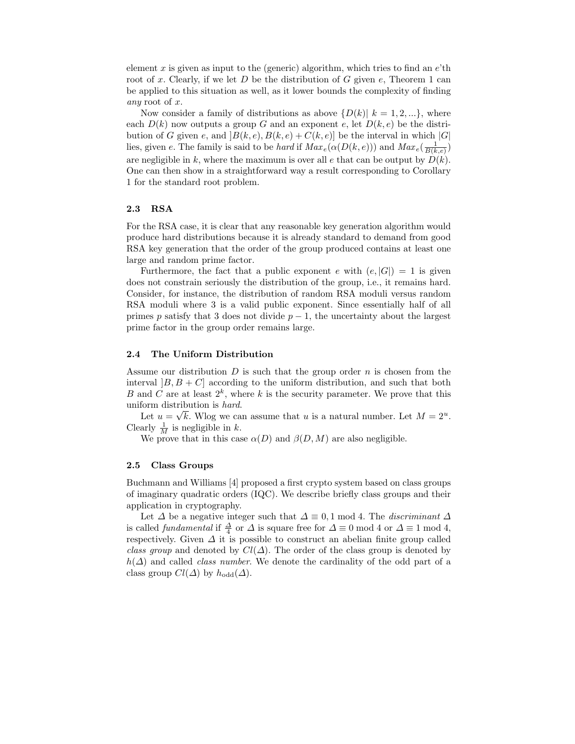element x is given as input to the (generic) algorithm, which tries to find an  $e<sup>i</sup>$ th root of x. Clearly, if we let D be the distribution of G given  $e$ , Theorem 1 can be applied to this situation as well, as it lower bounds the complexity of finding any root of x.

Now consider a family of distributions as above  $\{D(k)| k = 1, 2, ...\}$ , where each  $D(k)$  now outputs a group G and an exponent e, let  $D(k, e)$  be the distribution of G given e, and  $B(k, e), B(k, e) + C(k, e)$  be the interval in which  $|G|$ lies, given e. The family is said to be *hard* if  $Max_e(\alpha(D(k, e)))$  and  $Max_e(\frac{1}{B(k, e)})$ are negligible in k, where the maximum is over all e that can be output by  $D(k)$ . One can then show in a straightforward way a result corresponding to Corollary 1 for the standard root problem.

#### 2.3 RSA

For the RSA case, it is clear that any reasonable key generation algorithm would produce hard distributions because it is already standard to demand from good RSA key generation that the order of the group produced contains at least one large and random prime factor.

Furthermore, the fact that a public exponent e with  $(e, |G|) = 1$  is given does not constrain seriously the distribution of the group, i.e., it remains hard. Consider, for instance, the distribution of random RSA moduli versus random RSA moduli where 3 is a valid public exponent. Since essentially half of all primes p satisfy that 3 does not divide  $p-1$ , the uncertainty about the largest prime factor in the group order remains large.

#### 2.4 The Uniform Distribution

Assume our distribution  $D$  is such that the group order  $n$  is chosen from the interval  $[B, B + C]$  according to the uniform distribution, and such that both B and C are at least  $2^k$ , where k is the security parameter. We prove that this uniform distribution is hard.

Let  $u = \sqrt{k}$ . Wlog we can assume that u is a natural number. Let  $M = 2^u$ . Clearly  $\frac{1}{M}$  is negligible in k.

We prove that in this case  $\alpha(D)$  and  $\beta(D, M)$  are also negligible.

#### 2.5 Class Groups

Buchmann and Williams [4] proposed a first crypto system based on class groups of imaginary quadratic orders (IQC). We describe briefly class groups and their application in cryptography.

Let  $\Delta$  be a negative integer such that  $\Delta \equiv 0, 1 \mod 4$ . The *discriminant*  $\Delta$ is called *fundamental* if  $\frac{\Delta}{4}$  or  $\Delta$  is square free for  $\Delta \equiv 0 \mod 4$  or  $\Delta \equiv 1 \mod 4$ , respectively. Given  $\Delta$  it is possible to construct an abelian finite group called class group and denoted by  $Cl(\Delta)$ . The order of the class group is denoted by  $h(\Delta)$  and called *class number*. We denote the cardinality of the odd part of a class group  $Cl(\Delta)$  by  $h_{\text{odd}}(\Delta)$ .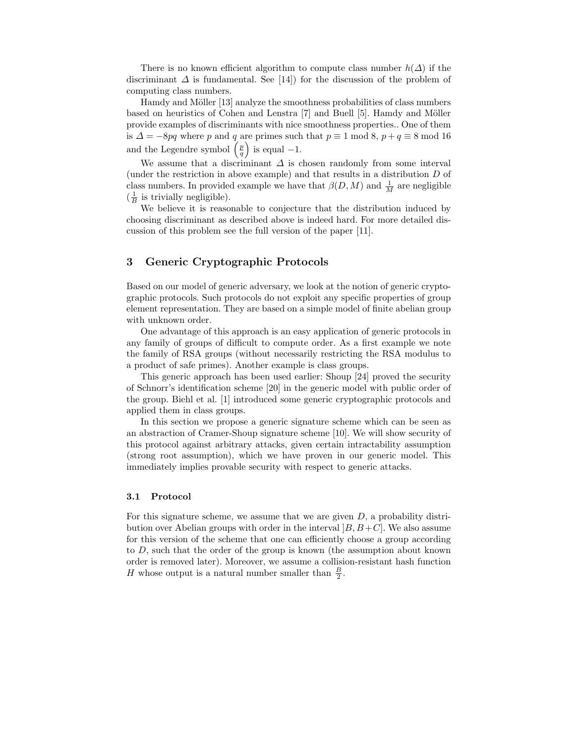There is no known efficient algorithm to compute class number  $h(\Delta)$  if the discriminant  $\Delta$  is fundamental. See [14]) for the discussion of the problem of computing class numbers.

Hamdy and Möller [13] analyze the smoothness probabilities of class numbers based on heuristics of Cohen and Lenstra [7] and Buell [5]. Hamdy and Möller provide examples of discriminants with nice smoothness properties.. One of them is  $\Delta = -8pq$  where p and q are primes such that  $p \equiv 1 \mod 8$ ,  $p + q \equiv 8 \mod 16$ and the Legendre symbol  $\left(\frac{p}{q}\right)$  is equal -1.

We assume that a discriminant  $\Delta$  is chosen randomly from some interval (under the restriction in above example) and that results in a distribution D of class numbers. In provided example we have that  $\beta(D, M)$  and  $\frac{1}{M}$  are negligible  $\left(\frac{1}{B} \text{ is trivially negligible}\right).$ 

We believe it is reasonable to conjecture that the distribution induced by choosing discriminant as described above is indeed hard. For more detailed discussion of this problem see the full version of the paper [11].

# 3 Generic Cryptographic Protocols

Based on our model of generic adversary, we look at the notion of generic cryptographic protocols. Such protocols do not exploit any specific properties of group element representation. They are based on a simple model of finite abelian group with unknown order.

One advantage of this approach is an easy application of generic protocols in any family of groups of difficult to compute order. As a first example we note the family of RSA groups (without necessarily restricting the RSA modulus to a product of safe primes). Another example is class groups.

This generic approach has been used earlier: Shoup [24] proved the security of Schnorr's identification scheme [20] in the generic model with public order of the group. Biehl et al. [1] introduced some generic cryptographic protocols and applied them in class groups.

In this section we propose a generic signature scheme which can be seen as an abstraction of Cramer-Shoup signature scheme [10]. We will show security of this protocol against arbitrary attacks, given certain intractability assumption (strong root assumption), which we have proven in our generic model. This immediately implies provable security with respect to generic attacks.

#### 3.1 Protocol

For this signature scheme, we assume that we are given  $D$ , a probability distribution over Abelian groups with order in the interval  $|B, B+C|$ . We also assume for this version of the scheme that one can efficiently choose a group according to D, such that the order of the group is known (the assumption about known order is removed later). Moreover, we assume a collision-resistant hash function H whose output is a natural number smaller than  $\frac{B}{2}$ .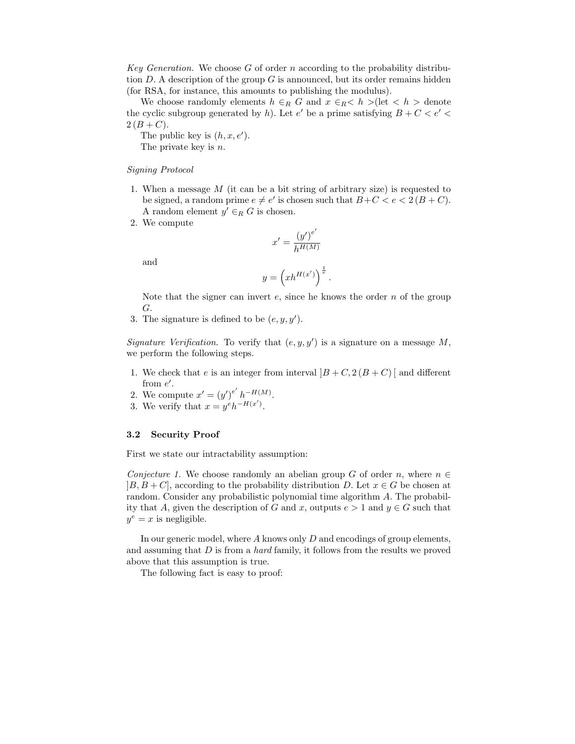Key Generation. We choose G of order n according to the probability distribution  $D$ . A description of the group  $G$  is announced, but its order remains hidden (for RSA, for instance, this amounts to publishing the modulus).

We choose randomly elements  $h \in_R G$  and  $x \in_R < h$  >(let  $\langle h \rangle$  denote the cyclic subgroup generated by h). Let  $e'$  be a prime satisfying  $B + C < e' <$  $2(B+C).$ 

The public key is  $(h, x, e')$ .

The private key is n.

#### Signing Protocol

- 1. When a message M (it can be a bit string of arbitrary size) is requested to be signed, a random prime  $e \neq e'$  is chosen such that  $B+C < e < 2(B+C)$ . A random element  $y' \in_R G$  is chosen.
- 2. We compute

$$
x'=\frac{\left(y'\right)^{e'}}{h^{H(M)}}
$$

and

$$
y=\left(xh^{H(x')}\right)^{\frac{1}{e}}
$$

.

Note that the signer can invert  $e$ , since he knows the order  $n$  of the group G.

3. The signature is defined to be  $(e, y, y')$ .

Signature Verification. To verify that  $(e, y, y')$  is a signature on a message M, we perform the following steps.

- 1. We check that e is an integer from interval  $|B+C, 2(B+C)|$  and different from  $e'$ .
- 2. We compute  $x' = (y')^{e'} h^{-H(M)}$ .
- 3. We verify that  $x = y^e h^{-H(x')}$ .

#### 3.2 Security Proof

First we state our intractability assumption:

Conjecture 1. We choose randomly an abelian group G of order n, where  $n \in$  $[B, B + C]$ , according to the probability distribution D. Let  $x \in G$  be chosen at random. Consider any probabilistic polynomial time algorithm A. The probability that A, given the description of G and x, outputs  $e > 1$  and  $y \in G$  such that  $y^e = x$  is negligible.

In our generic model, where  $A$  knows only  $D$  and encodings of group elements, and assuming that  $D$  is from a *hard* family, it follows from the results we proved above that this assumption is true.

The following fact is easy to proof: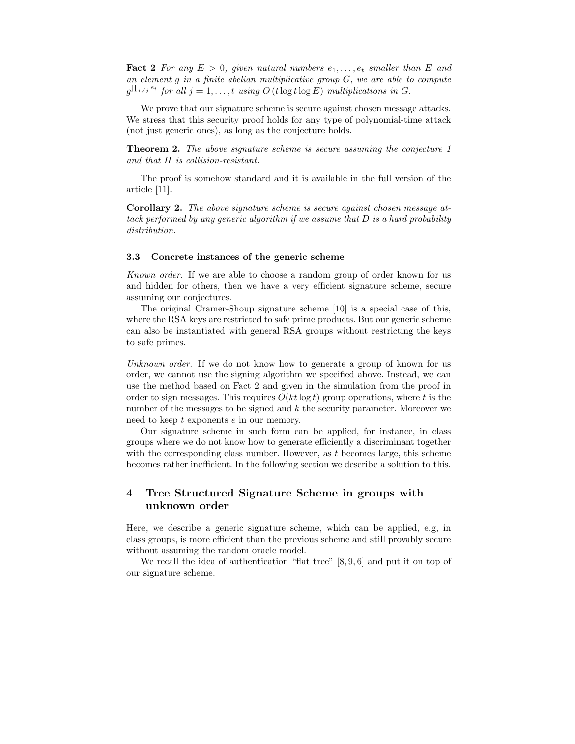**Fact 2** For any  $E > 0$ , given natural numbers  $e_1, \ldots, e_t$  smaller than E and an element q in a finite abelian multiplicative group  $G$ , we are able to compute  $g^{\prod_{i\neq j}e_i}$  for all  $j=1,\ldots,t$  using  $O(t \log t \log E)$  multiplications in G.

We prove that our signature scheme is secure against chosen message attacks. We stress that this security proof holds for any type of polynomial-time attack (not just generic ones), as long as the conjecture holds.

Theorem 2. The above signature scheme is secure assuming the conjecture 1 and that H is collision-resistant.

The proof is somehow standard and it is available in the full version of the article [11].

Corollary 2. The above signature scheme is secure against chosen message attack performed by any generic algorithm if we assume that  $D$  is a hard probability distribution.

#### 3.3 Concrete instances of the generic scheme

Known order. If we are able to choose a random group of order known for us and hidden for others, then we have a very efficient signature scheme, secure assuming our conjectures.

The original Cramer-Shoup signature scheme [10] is a special case of this, where the RSA keys are restricted to safe prime products. But our generic scheme can also be instantiated with general RSA groups without restricting the keys to safe primes.

Unknown order. If we do not know how to generate a group of known for us order, we cannot use the signing algorithm we specified above. Instead, we can use the method based on Fact 2 and given in the simulation from the proof in order to sign messages. This requires  $O(kt \log t)$  group operations, where t is the number of the messages to be signed and  $k$  the security parameter. Moreover we need to keep t exponents e in our memory.

Our signature scheme in such form can be applied, for instance, in class groups where we do not know how to generate efficiently a discriminant together with the corresponding class number. However, as  $t$  becomes large, this scheme becomes rather inefficient. In the following section we describe a solution to this.

# 4 Tree Structured Signature Scheme in groups with unknown order

Here, we describe a generic signature scheme, which can be applied, e.g, in class groups, is more efficient than the previous scheme and still provably secure without assuming the random oracle model.

We recall the idea of authentication "flat tree" [8, 9, 6] and put it on top of our signature scheme.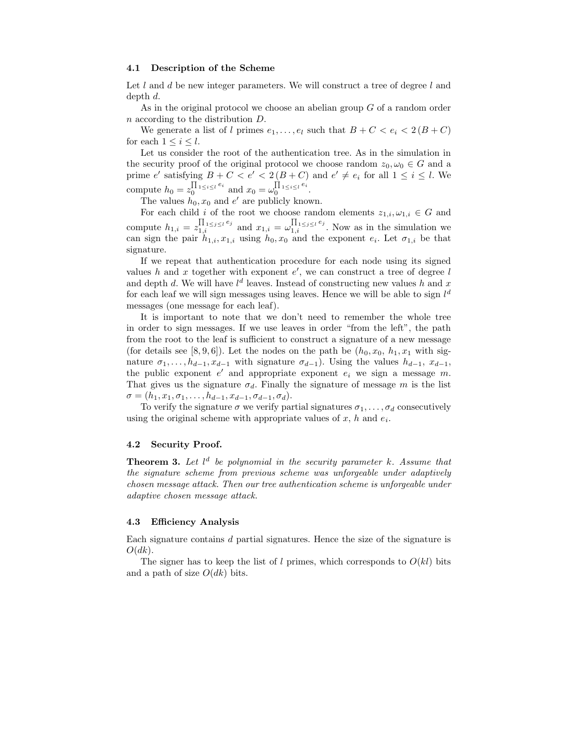#### 4.1 Description of the Scheme

Let l and d be new integer parameters. We will construct a tree of degree l and depth d.

As in the original protocol we choose an abelian group  $G$  of a random order n according to the distribution D.

We generate a list of l primes  $e_1, \ldots, e_l$  such that  $B + C < e_i < 2(B + C)$ for each  $1 \leq i \leq l$ .

Let us consider the root of the authentication tree. As in the simulation in the security proof of the original protocol we choose random  $z_0, \omega_0 \in G$  and a prime e' satisfying  $B + C < e' < 2(B+C)$  and  $e' \neq e_i$  for all  $1 \leq i \leq l$ . We compute  $h_0 = z_0^{\prod_{1 \leq i \leq l} e_i}$  $\prod_{i=1}^{n} a_i \leq i^{i}$  and  $x_0 = \omega_0^{\prod_{1 \leq i \leq l} e_i}$  $\frac{111 \leq i \leq l}{0}$ .

The values  $h_0, x_0$  and  $e'$  are publicly known.

For each child i of the root we choose random elements  $z_{1,i}, \omega_{1,i} \in G$  and compute  $h_{1,i} = z_{1,i}^{\prod_{1 \leq j \leq l} e_j}$  and  $x_{1,i} = \omega_{1,i}^{\prod_{1 \leq j \leq l} e_j}$ . Now as in the simulation we can sign the pair  $h_{1,i}, x_{1,i}$  using  $h_0, x_0$  and the exponent  $e_i$ . Let  $\sigma_{1,i}$  be that signature.

If we repeat that authentication procedure for each node using its signed values h and x together with exponent  $e'$ , we can construct a tree of degree l and depth d. We will have  $l^d$  leaves. Instead of constructing new values h and x for each leaf we will sign messages using leaves. Hence we will be able to sign  $l^d$ messages (one message for each leaf).

It is important to note that we don't need to remember the whole tree in order to sign messages. If we use leaves in order "from the left", the path from the root to the leaf is sufficient to construct a signature of a new message (for details see [8, 9, 6]). Let the nodes on the path be  $(h_0, x_0, h_1, x_1$  with signature  $\sigma_1, \ldots, h_{d-1}, x_{d-1}$  with signature  $\sigma_{d-1}$ ). Using the values  $h_{d-1}, x_{d-1}$ , the public exponent  $e'$  and appropriate exponent  $e_i$  we sign a message m. That gives us the signature  $\sigma_d$ . Finally the signature of message m is the list  $\sigma = (h_1, x_1, \sigma_1, \ldots, h_{d-1}, x_{d-1}, \sigma_{d-1}, \sigma_d).$ 

To verify the signature  $\sigma$  we verify partial signatures  $\sigma_1, \ldots, \sigma_d$  consecutively using the original scheme with appropriate values of  $x$ ,  $h$  and  $e_i$ .

#### 4.2 Security Proof.

**Theorem 3.** Let  $l^d$  be polynomial in the security parameter k. Assume that the signature scheme from previous scheme was unforgeable under adaptively chosen message attack. Then our tree authentication scheme is unforgeable under adaptive chosen message attack.

#### 4.3 Efficiency Analysis

Each signature contains d partial signatures. Hence the size of the signature is  $O(dk)$ .

The signer has to keep the list of l primes, which corresponds to  $O(kl)$  bits and a path of size  $O(dk)$  bits.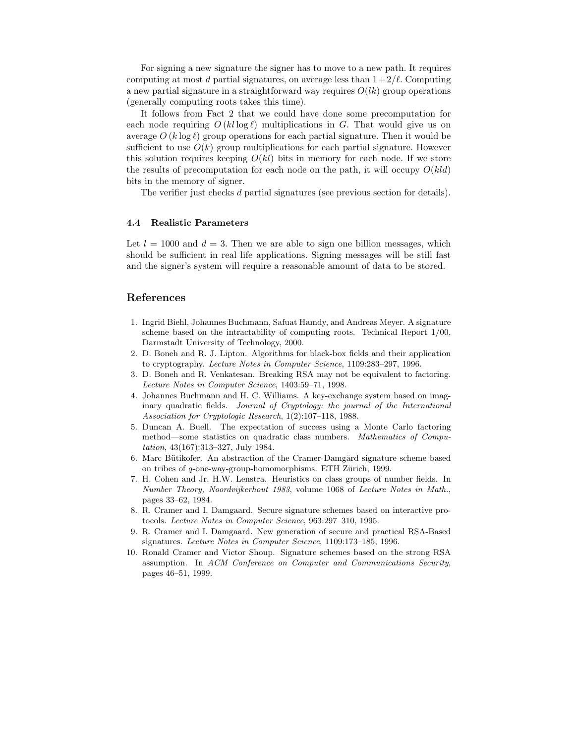For signing a new signature the signer has to move to a new path. It requires computing at most d partial signatures, on average less than  $1+2/\ell$ . Computing a new partial signature in a straightforward way requires  $O(lk)$  group operations (generally computing roots takes this time).

It follows from Fact 2 that we could have done some precomputation for each node requiring  $O(k \log \ell)$  multiplications in G. That would give us on average  $O(k \log \ell)$  group operations for each partial signature. Then it would be sufficient to use  $O(k)$  group multiplications for each partial signature. However this solution requires keeping  $O(kl)$  bits in memory for each node. If we store the results of precomputation for each node on the path, it will occupy  $O(kld)$ bits in the memory of signer.

The verifier just checks d partial signatures (see previous section for details).

#### 4.4 Realistic Parameters

Let  $l = 1000$  and  $d = 3$ . Then we are able to sign one billion messages, which should be sufficient in real life applications. Signing messages will be still fast and the signer's system will require a reasonable amount of data to be stored.

# References

- 1. Ingrid Biehl, Johannes Buchmann, Safuat Hamdy, and Andreas Meyer. A signature scheme based on the intractability of computing roots. Technical Report 1/00, Darmstadt University of Technology, 2000.
- 2. D. Boneh and R. J. Lipton. Algorithms for black-box fields and their application to cryptography. Lecture Notes in Computer Science, 1109:283–297, 1996.
- 3. D. Boneh and R. Venkatesan. Breaking RSA may not be equivalent to factoring. Lecture Notes in Computer Science, 1403:59–71, 1998.
- 4. Johannes Buchmann and H. C. Williams. A key-exchange system based on imaginary quadratic fields. Journal of Cryptology: the journal of the International Association for Cryptologic Research, 1(2):107–118, 1988.
- 5. Duncan A. Buell. The expectation of success using a Monte Carlo factoring method—some statistics on quadratic class numbers. Mathematics of Computation, 43(167):313–327, July 1984.
- 6. Marc Bütik ofer. An abstraction of the Cramer-Damgård signature scheme based on tribes of  $q$ -one-way-group-homomorphisms. ETH Zürich, 1999.
- 7. H. Cohen and Jr. H.W. Lenstra. Heuristics on class groups of number fields. In Number Theory, Noordvijkerhout 1983, volume 1068 of Lecture Notes in Math., pages 33–62, 1984.
- 8. R. Cramer and I. Damgaard. Secure signature schemes based on interactive protocols. Lecture Notes in Computer Science, 963:297–310, 1995.
- 9. R. Cramer and I. Damgaard. New generation of secure and practical RSA-Based signatures. Lecture Notes in Computer Science, 1109:173–185, 1996.
- 10. Ronald Cramer and Victor Shoup. Signature schemes based on the strong RSA assumption. In ACM Conference on Computer and Communications Security, pages 46–51, 1999.